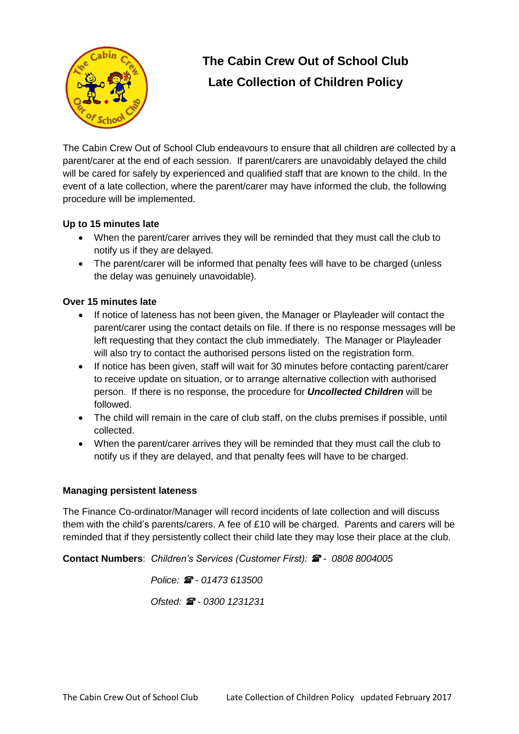

## **The Cabin Crew Out of School Club Late Collection of Children Policy**

The Cabin Crew Out of School Club endeavours to ensure that all children are collected by a parent/carer at the end of each session. If parent/carers are unavoidably delayed the child will be cared for safely by experienced and qualified staff that are known to the child. In the event of a late collection, where the parent/carer may have informed the club, the following procedure will be implemented.

## **Up to 15 minutes late**

- When the parent/carer arrives they will be reminded that they must call the club to notify us if they are delayed.
- The parent/carer will be informed that penalty fees will have to be charged (unless the delay was genuinely unavoidable).

## **Over 15 minutes late**

- If notice of lateness has not been given, the Manager or Playleader will contact the parent/carer using the contact details on file. If there is no response messages will be left requesting that they contact the club immediately. The Manager or Playleader will also try to contact the authorised persons listed on the registration form.
- If notice has been given, staff will wait for 30 minutes before contacting parent/carer to receive update on situation, or to arrange alternative collection with authorised person. If there is no response, the procedure for *Uncollected Children* will be followed.
- The child will remain in the care of club staff, on the clubs premises if possible, until collected.
- When the parent/carer arrives they will be reminded that they must call the club to notify us if they are delayed, and that penalty fees will have to be charged.

## **Managing persistent lateness**

The Finance Co-ordinator/Manager will record incidents of late collection and will discuss them with the child's parents/carers. A fee of £10 will be charged. Parents and carers will be reminded that if they persistently collect their child late they may lose their place at the club.

**Contact Numbers**: *Children's Services (Customer First): - 0808 8004005*

 *Police: - 01473 613500 Ofsted: - 0300 1231231*